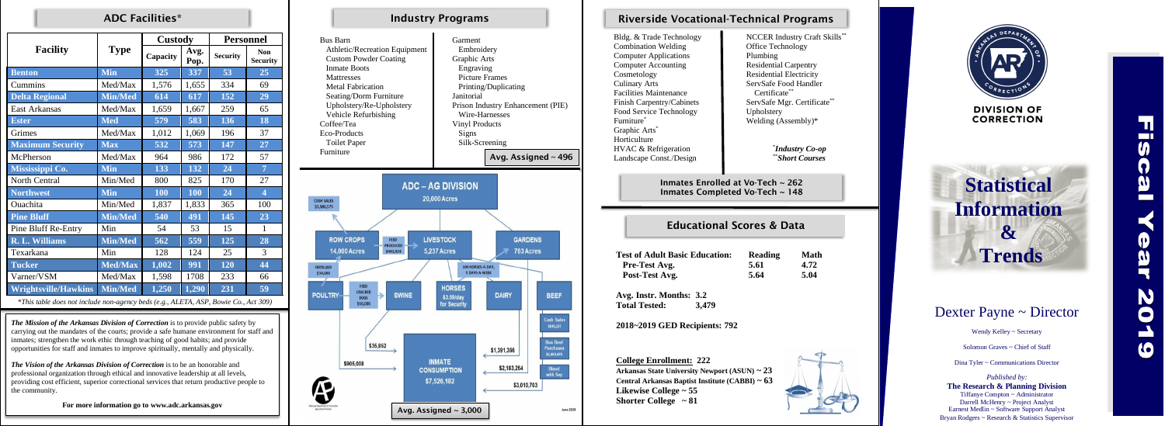|                             | <b>Type</b>    | <b>Custody</b> |              | <b>Personnel</b> |                               |
|-----------------------------|----------------|----------------|--------------|------------------|-------------------------------|
| <b>Facility</b>             |                | Capacity       | Avg.<br>Pop. | <b>Security</b>  | <b>Non</b><br><b>Security</b> |
| <b>Benton</b>               | <b>Min</b>     | 325            | 337          | 53               | 25                            |
| Cummins                     | Med/Max        | 1,576          | 1,655        | 334              | 69                            |
| <b>Delta Regional</b>       | <b>Min/Med</b> | 614            | 617          | 152              | 29                            |
| <b>East Arkansas</b>        | Med/Max        | 1,659          | 1,667        | 259              | 65                            |
| <b>Ester</b>                | <b>Med</b>     | 579            | 583          | 136              | 18                            |
| Grimes                      | Med/Max        | 1,012          | 1,069        | 196              | 37                            |
| <b>Maximum Security</b>     | <b>Max</b>     | 532            | 573          | 147              | 27                            |
| McPherson                   | Med/Max        | 964            | 986          | 172              | 57                            |
| Mississippi Co.             | <b>Min</b>     | 133            | 132          | 24               | $\overline{7}$                |
| North Central               | Min/Med        | 800            | 825          | 170              | 27                            |
| <b>Northwest</b>            | <b>Min</b>     | 100            | 100          | 24               | $\overline{\mathbf{4}}$       |
| Ouachita                    | Min/Med        | 1,837          | 1,833        | 365              | 100                           |
| <b>Pine Bluff</b>           | <b>Min/Med</b> | 540            | 491          | 145              | 23                            |
| <b>Pine Bluff Re-Entry</b>  | Min            | 54             | 53           | 15               | $\mathbf{1}$                  |
| R. L. Williams              | <b>Min/Med</b> | 562            | 559          | 125              | 28                            |
| Texarkana                   | Min            | 128            | 124          | 25               | 3                             |
| <b>Tucker</b>               | <b>Med/Max</b> | 1,002          | 991          | 120              | 44                            |
| Varner/VSM                  | Med/Max        | 1,598          | 1708         | 233              | 66                            |
| <b>Wrightsville/Hawkins</b> | <b>Min/Med</b> | 1,250          | 1,290        | 231              | 59                            |

*\*This table does not include non-agency beds (e.g., ALETA, ASP, Bowie Co., Act 309)*

Bus Barn Garment

 $\blacksquare$ 

Bldg. & Trade Technology NCCER Industry Craft Skills<sup>\*\*</sup>  $Combination$  Welding  $\Box$  Office Technology Computer Applications Plumbing Computer Accounting **Residential Carpentry** Cosmetology Residential Electricity Culinary Arts ServSafe Food Handler Facilities Maintenance Finish Carpentry/Cabinets Food Service Technology<br>
Furniture<sup>\*</sup> Welding (A Graphic Arts<sup>\*</sup> Horticulture HVAC & Refrigeration Landscape Const./Design



**Test of Adult Pre-Test A Post-Test A** 

**June 2019** 

!<br>. Inmates Enrolled at Vo-Tech ~ 262 Inmates Completed Vo-Tech ~ 148

| Athletic/Recreation Equipment<br><b>Custom Powder Coating</b><br><b>Inmate Boots</b><br><b>Mattresses</b><br><b>Metal Fabrication</b><br>Seating/Dorm Furniture<br>Upholstery/Re-Upholstery<br>Vehicle Refurbishing<br>Coffee/Tea<br>Eco-Products<br><b>Toilet Paper</b><br>Furniture | Embroidery<br>Graphic Arts<br>Engraving<br><b>Picture Frames</b><br>Janitorial<br>Wire-Harnesses<br><b>Vinyl Products</b><br>Signs<br>Silk-Screening                                  | Printing/Duplicating<br>Prison Industry Enhancement (PIE)<br>Avg. Assigned ~ 496 |                                                                                |
|---------------------------------------------------------------------------------------------------------------------------------------------------------------------------------------------------------------------------------------------------------------------------------------|---------------------------------------------------------------------------------------------------------------------------------------------------------------------------------------|----------------------------------------------------------------------------------|--------------------------------------------------------------------------------|
| <b>CASH SALES</b><br>\$3,386,575<br><b>ROW CROPS</b><br><b>FEED</b><br><b>PRODUCED</b><br><b>14,000 Acres</b><br>\$443,924<br><b>FERTILIZER</b><br>\$34,000<br>FEED<br><b>CRACKED</b><br><b>POULTRY</b><br><b>SWINE</b><br><b>EGGS</b><br>\$10,000                                    | <b>ADC - AG DIVISION</b><br><b>20,000 Acres</b><br><b>LIVESTOCK</b><br><b>5,237 Acres</b><br>100 HORSES-A-DAY,<br><b>5 DAYS-A-WEEK</b><br><b>HORSES</b><br>\$3.59/day<br>for Security | <b>GARDENS</b><br>763 Acres<br><b>DAIRY</b>                                      | <b>BEEF</b><br><b>Cash Sales</b><br>\$545,227                                  |
| \$35,852<br>\$905,008                                                                                                                                                                                                                                                                 | <b>INMATE</b><br><b>CONSUMPTION</b><br>\$7,526,182                                                                                                                                    | \$1,391,356<br>\$2,183,264<br>\$3,010,703                                        | <b>Box Beef</b><br><b>Purchases</b><br>\$2,465,476<br><b>Blend</b><br>with Soy |
|                                                                                                                                                                                                                                                                                       | $\Delta u$ $\Delta$ ccianod 2000                                                                                                                                                      |                                                                                  | <b>June 201</b>                                                                |

Avg. Assigned  $\sim$  3,000

\* *Industry Co-op* \*\**Short Courses*

## ADC Facilities\* Industry Programs

### Educational Scores & Data

| t Basic Education: | Reading | <b>Math</b> |
|--------------------|---------|-------------|
| Vg.                | 5.61    | 4.72        |
| Avg.               | 5.64    | 5.04        |





# Riverside Vocational-Technical Programs

| Technology |  |
|------------|--|
| Velding    |  |
| lications  |  |
| punting    |  |
|            |  |

Certificate\*\* ServSafe Mgr. Certificate\*\* Welding  $(A$ ssembly)\*

**Avg. Instr. Months: 3.2 Total Tested: 3,479**

**2018~2019 GED Recipients: 792**

**College Enrollment: 222 Arkansas State University Newport (ASUN) ~ 23 Central Arkansas Baptist Institute (CABBI) ~ 63 Likewise College ~ 55 Shorter College ~ 81**

*The Mission of the Arkansas Division of Correction* is to provide public safety by carrying out the mandates of the courts; provide a safe humane environment for staff and inmates; strengthen the work ethic through teaching of good habits; and provide opportunities for staff and inmates to improve spiritually, mentally and physically.

*The Vision of the Arkansas Division of Correction* is to be an honorable and professional organization through ethical and innovative leadership at all levels, providing cost efficient, superior correctional services that return productive people to the community.

**For more information go to www.adc.arkansas.gov**

**Statistical Information & Trends**

# Dexter Payne ~ Director

Wendy Kelley ~ Secretary

Solomon Graves ~ Chief of Staff

Dina Tyler ~ Communications Director

*Published by:* **The Research & Planning Division** Tiffanye Compton ~ Administrator Darrell McHenry ~ Project Analyst Earnest Medlin ~ Software Support Analyst Bryan Rodgers ~ Research & Statistics Supervisor